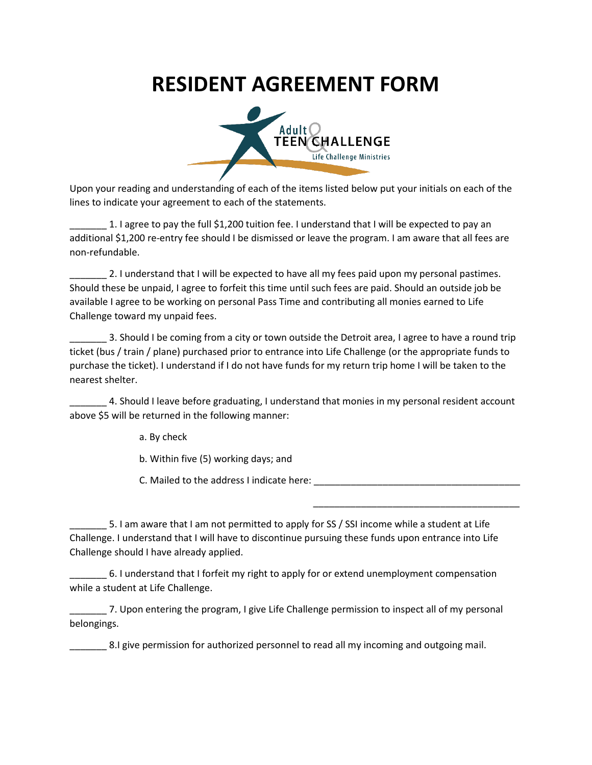## **RESIDENT AGREEMENT FORM**



Upon your reading and understanding of each of the items listed below put your initials on each of the lines to indicate your agreement to each of the statements.

\_\_\_\_\_\_\_ 1. I agree to pay the full \$1,200 tuition fee. I understand that I will be expected to pay an additional \$1,200 re-entry fee should I be dismissed or leave the program. I am aware that all fees are non-refundable.

2. I understand that I will be expected to have all my fees paid upon my personal pastimes. Should these be unpaid, I agree to forfeit this time until such fees are paid. Should an outside job be available I agree to be working on personal Pass Time and contributing all monies earned to Life Challenge toward my unpaid fees.

\_\_\_\_\_\_\_ 3. Should I be coming from a city or town outside the Detroit area, I agree to have a round trip ticket (bus / train / plane) purchased prior to entrance into Life Challenge (or the appropriate funds to purchase the ticket). I understand if I do not have funds for my return trip home I will be taken to the nearest shelter.

4. Should I leave before graduating, I understand that monies in my personal resident account above \$5 will be returned in the following manner:

a. By check

b. Within five (5) working days; and

C. Mailed to the address I indicate here: \_\_\_\_\_\_\_\_\_\_\_\_\_\_\_\_\_\_\_\_\_\_\_\_\_\_\_\_\_\_\_\_\_\_\_\_\_\_\_

\_\_\_\_\_\_\_\_\_\_\_\_\_\_\_\_\_\_\_\_\_\_\_\_\_\_\_\_\_\_\_\_\_\_\_\_\_\_\_

5. I am aware that I am not permitted to apply for SS / SSI income while a student at Life Challenge. I understand that I will have to discontinue pursuing these funds upon entrance into Life Challenge should I have already applied.

6. I understand that I forfeit my right to apply for or extend unemployment compensation while a student at Life Challenge.

\_\_\_\_\_\_\_ 7. Upon entering the program, I give Life Challenge permission to inspect all of my personal belongings.

\_\_\_\_\_\_\_ 8.I give permission for authorized personnel to read all my incoming and outgoing mail.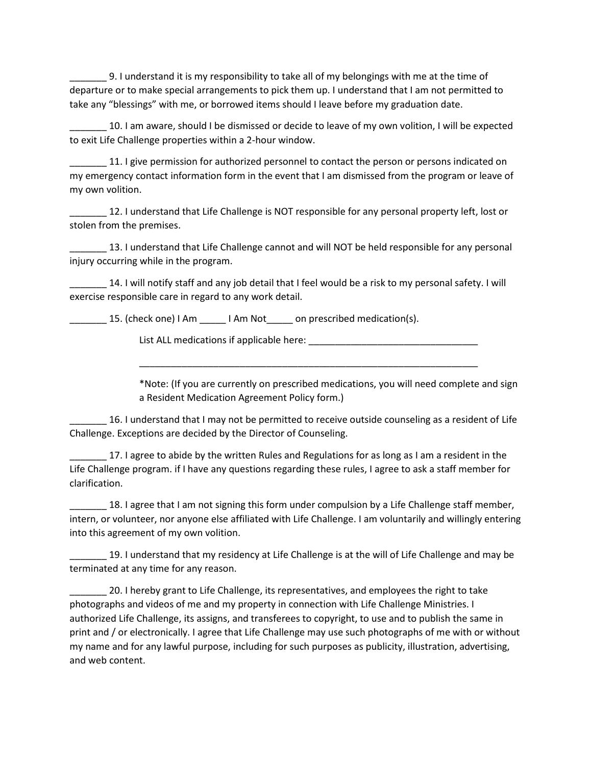\_\_\_\_\_\_\_ 9. I understand it is my responsibility to take all of my belongings with me at the time of departure or to make special arrangements to pick them up. I understand that I am not permitted to take any "blessings" with me, or borrowed items should I leave before my graduation date.

10. I am aware, should I be dismissed or decide to leave of my own volition, I will be expected to exit Life Challenge properties within a 2-hour window.

\_\_\_\_\_\_\_ 11. I give permission for authorized personnel to contact the person or persons indicated on my emergency contact information form in the event that I am dismissed from the program or leave of my own volition.

\_\_\_\_\_\_\_ 12. I understand that Life Challenge is NOT responsible for any personal property left, lost or stolen from the premises.

\_\_\_\_\_\_\_ 13. I understand that Life Challenge cannot and will NOT be held responsible for any personal injury occurring while in the program.

\_\_\_\_\_\_\_ 14. I will notify staff and any job detail that I feel would be a risk to my personal safety. I will exercise responsible care in regard to any work detail.

15. (check one) I Am \_\_\_\_\_ I Am Not \_\_\_\_\_ on prescribed medication(s).

List ALL medications if applicable here:  $\blacksquare$ 

\*Note: (If you are currently on prescribed medications, you will need complete and sign a Resident Medication Agreement Policy form.)

\_\_\_\_\_\_\_\_\_\_\_\_\_\_\_\_\_\_\_\_\_\_\_\_\_\_\_\_\_\_\_\_\_\_\_\_\_\_\_\_\_\_\_\_\_\_\_\_\_\_\_\_\_\_\_\_\_\_\_\_\_\_\_\_

\_\_\_\_\_\_\_ 16. I understand that I may not be permitted to receive outside counseling as a resident of Life Challenge. Exceptions are decided by the Director of Counseling.

17. I agree to abide by the written Rules and Regulations for as long as I am a resident in the Life Challenge program. if I have any questions regarding these rules, I agree to ask a staff member for clarification.

18. I agree that I am not signing this form under compulsion by a Life Challenge staff member, intern, or volunteer, nor anyone else affiliated with Life Challenge. I am voluntarily and willingly entering into this agreement of my own volition.

19. I understand that my residency at Life Challenge is at the will of Life Challenge and may be terminated at any time for any reason.

\_\_\_\_\_\_\_ 20. I hereby grant to Life Challenge, its representatives, and employees the right to take photographs and videos of me and my property in connection with Life Challenge Ministries. I authorized Life Challenge, its assigns, and transferees to copyright, to use and to publish the same in print and / or electronically. I agree that Life Challenge may use such photographs of me with or without my name and for any lawful purpose, including for such purposes as publicity, illustration, advertising, and web content.